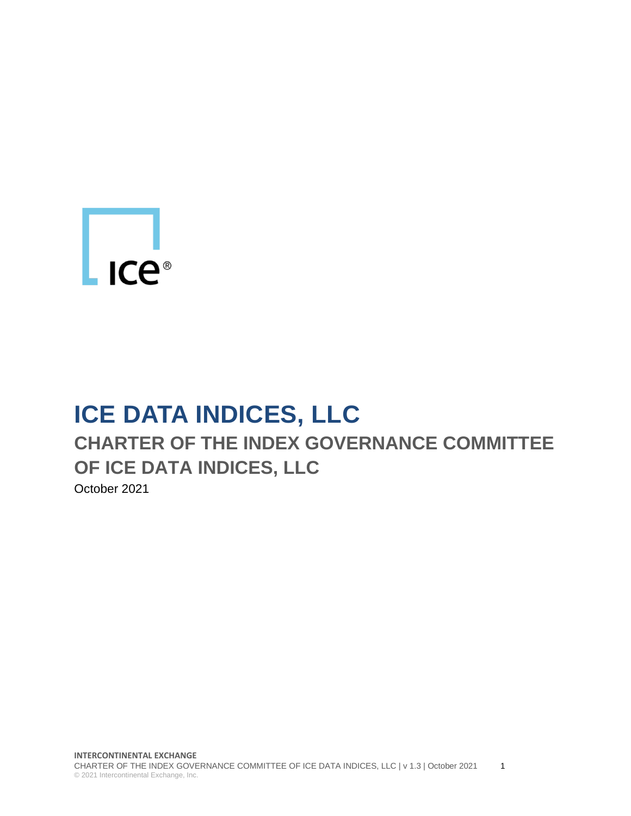# L<sub>ICe®</sub>

# **ICE DATA INDICES, LLC**

## **CHARTER OF THE INDEX GOVERNANCE COMMITTEE OF ICE DATA INDICES, LLC**

October 2021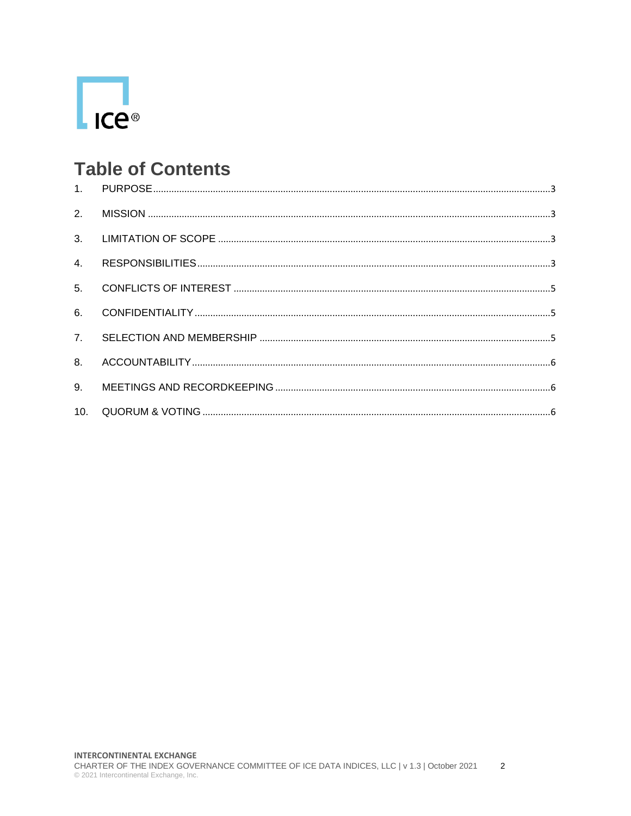

#### **Table of Contents**

| 4.             |  |
|----------------|--|
|                |  |
| 6.             |  |
|                |  |
| 8 <sub>1</sub> |  |
| 9 <sub>1</sub> |  |
| 10.            |  |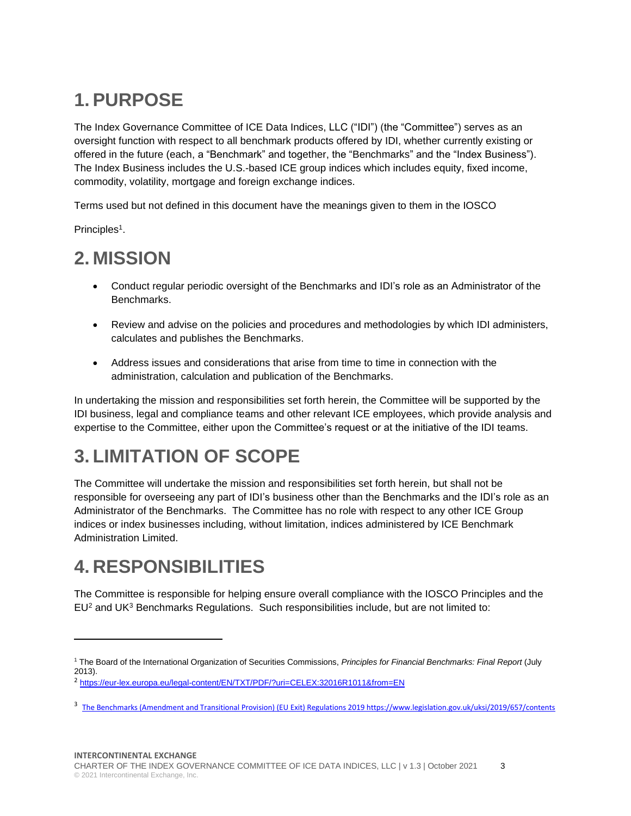### <span id="page-2-0"></span>**1. PURPOSE**

The Index Governance Committee of ICE Data Indices, LLC ("IDI") (the "Committee") serves as an oversight function with respect to all benchmark products offered by IDI, whether currently existing or offered in the future (each, a "Benchmark" and together, the "Benchmarks" and the "Index Business"). The Index Business includes the U.S.-based ICE group indices which includes equity, fixed income, commodity, volatility, mortgage and foreign exchange indices.

Terms used but not defined in this document have the meanings given to them in the IOSCO

Principles<sup>1</sup>.

#### <span id="page-2-1"></span>**2. MISSION**

- Conduct regular periodic oversight of the Benchmarks and IDI's role as an Administrator of the Benchmarks.
- Review and advise on the policies and procedures and methodologies by which IDI administers, calculates and publishes the Benchmarks.
- Address issues and considerations that arise from time to time in connection with the administration, calculation and publication of the Benchmarks.

In undertaking the mission and responsibilities set forth herein, the Committee will be supported by the IDI business, legal and compliance teams and other relevant ICE employees, which provide analysis and expertise to the Committee, either upon the Committee's request or at the initiative of the IDI teams.

#### <span id="page-2-2"></span>**3. LIMITATION OF SCOPE**

The Committee will undertake the mission and responsibilities set forth herein, but shall not be responsible for overseeing any part of IDI's business other than the Benchmarks and the IDI's role as an Administrator of the Benchmarks. The Committee has no role with respect to any other ICE Group indices or index businesses including, without limitation, indices administered by ICE Benchmark Administration Limited.

#### <span id="page-2-3"></span>**4. RESPONSIBILITIES**

The Committee is responsible for helping ensure overall compliance with the IOSCO Principles and the  $EU<sup>2</sup>$  and UK<sup>3</sup> Benchmarks Regulations. Such responsibilities include, but are not limited to:

<sup>1</sup> The Board of the International Organization of Securities Commissions, *Principles for Financial Benchmarks: Final Report* (July 2013).

<sup>&</sup>lt;sup>2</sup> <https://eur-lex.europa.eu/legal-content/EN/TXT/PDF/?uri=CELEX:32016R1011&from=EN>

<sup>&</sup>lt;sup>3</sup> The Benchmarks (Amendment and Transitional Provision) (EU Exit) Regulations 2019 <https://www.legislation.gov.uk/uksi/2019/657/contents>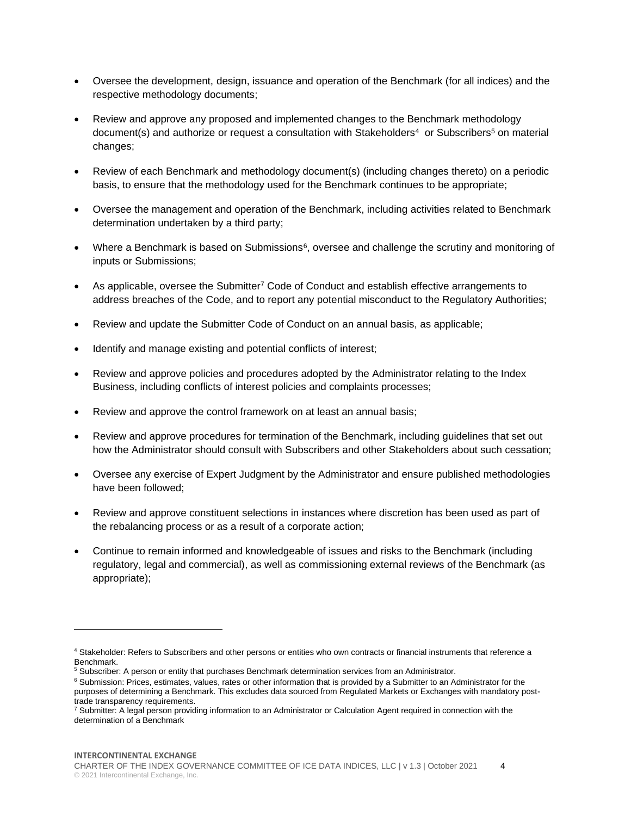- Oversee the development, design, issuance and operation of the Benchmark (for all indices) and the respective methodology documents;
- Review and approve any proposed and implemented changes to the Benchmark methodology document(s) and authorize or request a consultation with Stakeholders<sup>4</sup> or Subscribers<sup>5</sup> on material changes;
- Review of each Benchmark and methodology document(s) (including changes thereto) on a periodic basis, to ensure that the methodology used for the Benchmark continues to be appropriate;
- Oversee the management and operation of the Benchmark, including activities related to Benchmark determination undertaken by a third party;
- Where a Benchmark is based on Submissions<sup>6</sup>, oversee and challenge the scrutiny and monitoring of inputs or Submissions;
- As applicable, oversee the Submitter<sup>7</sup> Code of Conduct and establish effective arrangements to address breaches of the Code, and to report any potential misconduct to the Regulatory Authorities;
- Review and update the Submitter Code of Conduct on an annual basis, as applicable;
- Identify and manage existing and potential conflicts of interest;
- Review and approve policies and procedures adopted by the Administrator relating to the Index Business, including conflicts of interest policies and complaints processes;
- Review and approve the control framework on at least an annual basis;
- Review and approve procedures for termination of the Benchmark, including guidelines that set out how the Administrator should consult with Subscribers and other Stakeholders about such cessation;
- Oversee any exercise of Expert Judgment by the Administrator and ensure published methodologies have been followed;
- Review and approve constituent selections in instances where discretion has been used as part of the rebalancing process or as a result of a corporate action;
- Continue to remain informed and knowledgeable of issues and risks to the Benchmark (including regulatory, legal and commercial), as well as commissioning external reviews of the Benchmark (as appropriate);

<sup>4</sup> Stakeholder: Refers to Subscribers and other persons or entities who own contracts or financial instruments that reference a Benchmark.

<sup>5</sup> Subscriber: A person or entity that purchases Benchmark determination services from an Administrator.

<sup>&</sup>lt;sup>6</sup> Submission: Prices, estimates, values, rates or other information that is provided by a Submitter to an Administrator for the purposes of determining a Benchmark. This excludes data sourced from Regulated Markets or Exchanges with mandatory posttrade transparency requirements.

<sup>&</sup>lt;sup>7</sup> Submitter: A legal person providing information to an Administrator or Calculation Agent required in connection with the determination of a Benchmark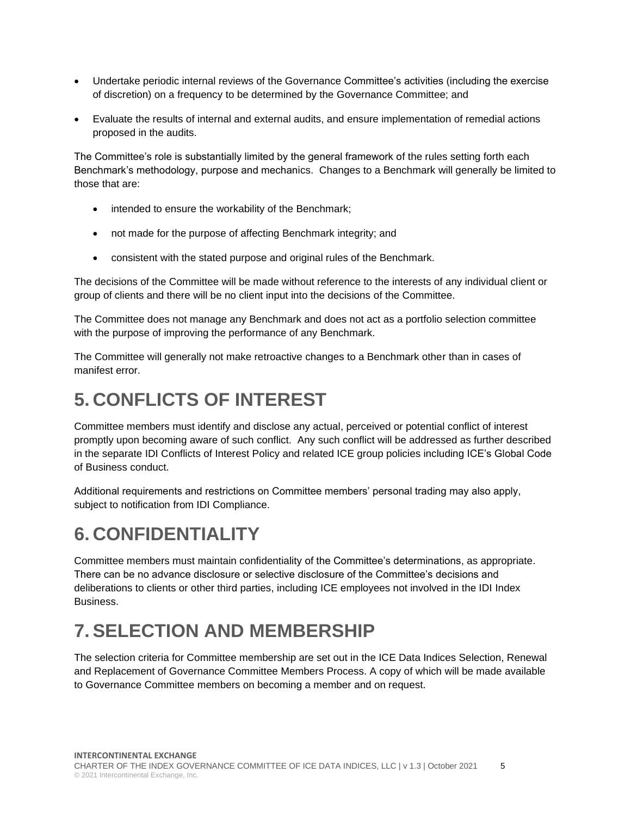- Undertake periodic internal reviews of the Governance Committee's activities (including the exercise of discretion) on a frequency to be determined by the Governance Committee; and
- Evaluate the results of internal and external audits, and ensure implementation of remedial actions proposed in the audits.

The Committee's role is substantially limited by the general framework of the rules setting forth each Benchmark's methodology, purpose and mechanics. Changes to a Benchmark will generally be limited to those that are:

- intended to ensure the workability of the Benchmark;
- not made for the purpose of affecting Benchmark integrity; and
- consistent with the stated purpose and original rules of the Benchmark.

The decisions of the Committee will be made without reference to the interests of any individual client or group of clients and there will be no client input into the decisions of the Committee.

The Committee does not manage any Benchmark and does not act as a portfolio selection committee with the purpose of improving the performance of any Benchmark.

The Committee will generally not make retroactive changes to a Benchmark other than in cases of manifest error.

#### <span id="page-4-0"></span>**5. CONFLICTS OF INTEREST**

Committee members must identify and disclose any actual, perceived or potential conflict of interest promptly upon becoming aware of such conflict. Any such conflict will be addressed as further described in the separate IDI Conflicts of Interest Policy and related ICE group policies including ICE's Global Code of Business conduct.

Additional requirements and restrictions on Committee members' personal trading may also apply, subject to notification from IDI Compliance.

#### <span id="page-4-1"></span>**6. CONFIDENTIALITY**

Committee members must maintain confidentiality of the Committee's determinations, as appropriate. There can be no advance disclosure or selective disclosure of the Committee's decisions and deliberations to clients or other third parties, including ICE employees not involved in the IDI Index Business.

#### <span id="page-4-2"></span>**7. SELECTION AND MEMBERSHIP**

The selection criteria for Committee membership are set out in the ICE Data Indices Selection, Renewal and Replacement of Governance Committee Members Process. A copy of which will be made available to Governance Committee members on becoming a member and on request.